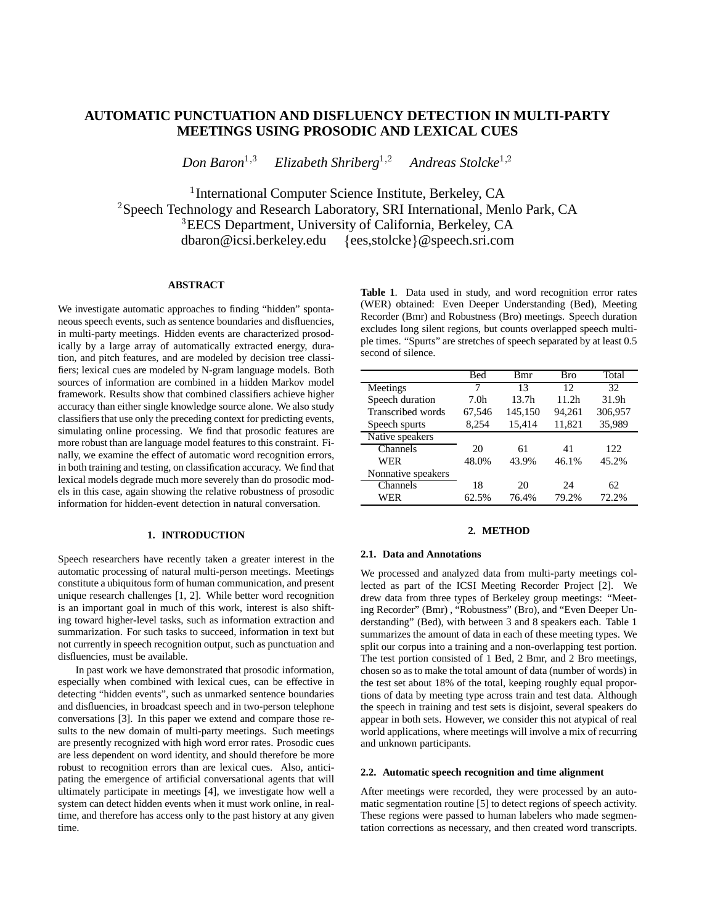# **AUTOMATIC PUNCTUATION AND DISFLUENCY DETECTION IN MULTI-PARTY MEETINGS USING PROSODIC AND LEXICAL CUES**

Don Baron<sup>1,3</sup> *Elizabeth Shriberg*1;2 Andreas Stolcke<sup>1,2</sup>

<sup>1</sup>International Computer Science Institute, Berkeley, CA  $^2$ Speech Technology and Research Laboratory, SRI International, Menlo Park, CA <sup>3</sup> EECS Department, University of California, Berkeley, CA  $dbaron @icsi.berkeley.edu \{ees, stoleke\} @ speech.sri.com$ 

# **ABSTRACT**

We investigate automatic approaches to finding "hidden" spontaneous speech events, such as sentence boundaries and disfluencies, in multi-party meetings. Hidden events are characterized prosodically by a large array of automatically extracted energy, duration, and pitch features, and are modeled by decision tree classifiers; lexical cues are modeled by N-gram language models. Both sources of information are combined in a hidden Markov model framework. Results show that combined classifiers achieve higher accuracy than either single knowledge source alone. We also study classifiers that use only the preceding context for predicting events, simulating online processing. We find that prosodic features are more robust than are language model features to this constraint. Finally, we examine the effect of automatic word recognition errors, in both training and testing, on classification accuracy. We find that lexical models degrade much more severely than do prosodic models in this case, again showing the relative robustness of prosodic information for hidden-event detection in natural conversation.

# **1. INTRODUCTION**

Speech researchers have recently taken a greater interest in the automatic processing of natural multi-person meetings. Meetings constitute a ubiquitous form of human communication, and present unique research challenges [1, 2]. While better word recognition is an important goal in much of this work, interest is also shifting toward higher-level tasks, such as information extraction and summarization. For such tasks to succeed, information in text but not currently in speech recognition output, such as punctuation and disfluencies, must be available.

In past work we have demonstrated that prosodic information, especially when combined with lexical cues, can be effective in detecting "hidden events", such as unmarked sentence boundaries and disfluencies, in broadcast speech and in two-person telephone conversations [3]. In this paper we extend and compare those results to the new domain of multi-party meetings. Such meetings are presently recognized with high word error rates. Prosodic cues are less dependent on word identity, and should therefore be more robust to recognition errors than are lexical cues. Also, anticipating the emergence of artificial conversational agents that will ultimately participate in meetings [4], we investigate how well a system can detect hidden events when it must work online, in realtime, and therefore has access only to the past history at any given time.

**Table 1**. Data used in study, and word recognition error rates (WER) obtained: Even Deeper Understanding (Bed), Meeting Recorder (Bmr) and Robustness (Bro) meetings. Speech duration excludes long silent regions, but counts overlapped speech multiple times. "Spurts" are stretches of speech separated by at least 0.5 second of silence.

|                    | Bed              | <b>B</b> mr       | Bro               | Total   |
|--------------------|------------------|-------------------|-------------------|---------|
|                    |                  |                   |                   |         |
| Meetings           | 7                | 13                | 12                | 32      |
| Speech duration    | 7.0 <sub>h</sub> | 13.7 <sub>h</sub> | 11.2 <sub>h</sub> | 31.9h   |
| Transcribed words  | 67,546           | 145,150           | 94,261            | 306,957 |
| Speech spurts      | 8,254            | 15,414            | 11,821            | 35,989  |
| Native speakers    |                  |                   |                   |         |
| Channels           | 20               | 61                | 41                | 122     |
| WER                | 48.0%            | 43.9%             | 46.1%             | 45.2%   |
| Nonnative speakers |                  |                   |                   |         |
| Channels           | 18               | 20                | 24                | 62      |
| WER                | 62.5%            | 76.4%             | 79.2%             | 72.2%   |

# **2. METHOD**

## **2.1. Data and Annotations**

We processed and analyzed data from multi-party meetings collected as part of the ICSI Meeting Recorder Project [2]. We drew data from three types of Berkeley group meetings: "Meeting Recorder" (Bmr) , "Robustness" (Bro), and "Even Deeper Understanding" (Bed), with between 3 and 8 speakers each. Table 1 summarizes the amount of data in each of these meeting types. We split our corpus into a training and a non-overlapping test portion. The test portion consisted of 1 Bed, 2 Bmr, and 2 Bro meetings, chosen so as to make the total amount of data (number of words) in the test set about 18% of the total, keeping roughly equal proportions of data by meeting type across train and test data. Although the speech in training and test sets is disjoint, several speakers do appear in both sets. However, we consider this not atypical of real world applications, where meetings will involve a mix of recurring and unknown participants.

#### **2.2. Automatic speech recognition and time alignment**

After meetings were recorded, they were processed by an automatic segmentation routine [5] to detect regions of speech activity. These regions were passed to human labelers who made segmentation corrections as necessary, and then created word transcripts.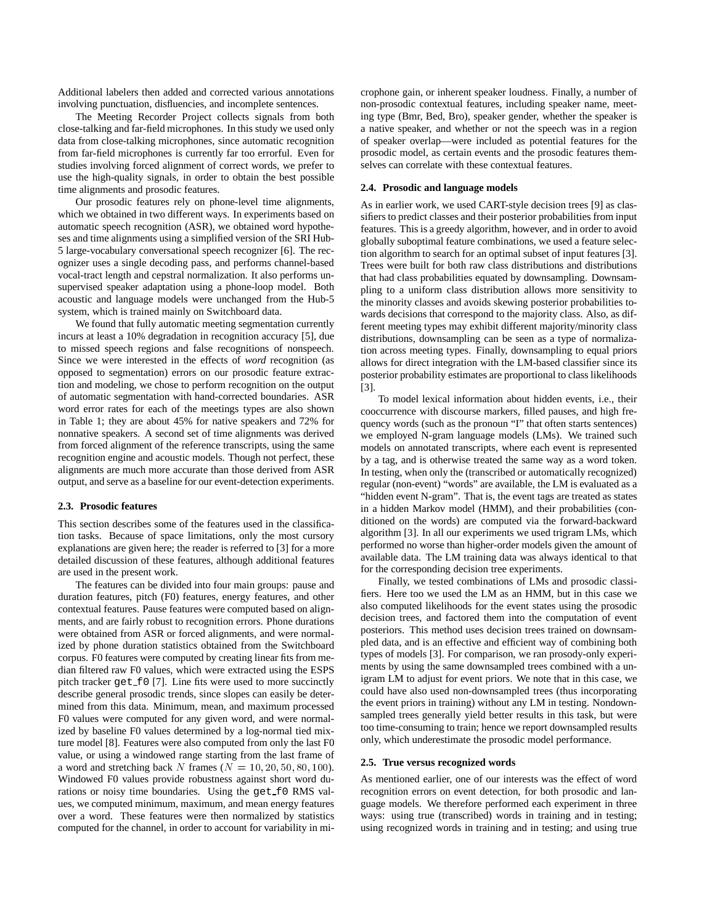Additional labelers then added and corrected various annotations involving punctuation, disfluencies, and incomplete sentences.

The Meeting Recorder Project collects signals from both close-talking and far-field microphones. In this study we used only data from close-talking microphones, since automatic recognition from far-field microphones is currently far too errorful. Even for studies involving forced alignment of correct words, we prefer to use the high-quality signals, in order to obtain the best possible time alignments and prosodic features.

Our prosodic features rely on phone-level time alignments, which we obtained in two different ways. In experiments based on automatic speech recognition (ASR), we obtained word hypotheses and time alignments using a simplified version of the SRI Hub-5 large-vocabulary conversational speech recognizer [6]. The recognizer uses a single decoding pass, and performs channel-based vocal-tract length and cepstral normalization. It also performs unsupervised speaker adaptation using a phone-loop model. Both acoustic and language models were unchanged from the Hub-5 system, which is trained mainly on Switchboard data.

We found that fully automatic meeting segmentation currently incurs at least a 10% degradation in recognition accuracy [5], due to missed speech regions and false recognitions of nonspeech. Since we were interested in the effects of *word* recognition (as opposed to segmentation) errors on our prosodic feature extraction and modeling, we chose to perform recognition on the output of automatic segmentation with hand-corrected boundaries. ASR word error rates for each of the meetings types are also shown in Table 1; they are about 45% for native speakers and 72% for nonnative speakers. A second set of time alignments was derived from forced alignment of the reference transcripts, using the same recognition engine and acoustic models. Though not perfect, these alignments are much more accurate than those derived from ASR output, and serve as a baseline for our event-detection experiments.

### **2.3. Prosodic features**

This section describes some of the features used in the classification tasks. Because of space limitations, only the most cursory explanations are given here; the reader is referred to [3] for a more detailed discussion of these features, although additional features are used in the present work.

The features can be divided into four main groups: pause and duration features, pitch (F0) features, energy features, and other contextual features. Pause features were computed based on alignments, and are fairly robust to recognition errors. Phone durations were obtained from ASR or forced alignments, and were normalized by phone duration statistics obtained from the Switchboard corpus. F0 features were computed by creating linear fits from median filtered raw F0 values, which were extracted using the ESPS pitch tracker get f0 [7]. Line fits were used to more succinctly describe general prosodic trends, since slopes can easily be determined from this data. Minimum, mean, and maximum processed F0 values were computed for any given word, and were normalized by baseline F0 values determined by a log-normal tied mixture model [8]. Features were also computed from only the last F0 value, or using a windowed range starting from the last frame of a word and stretching back N frames ( $N = 10, 20, 50, 80, 100$ ). Windowed F0 values provide robustness against short word durations or noisy time boundaries. Using the get  $f0$  RMS values, we computed minimum, maximum, and mean energy features over a word. These features were then normalized by statistics computed for the channel, in order to account for variability in microphone gain, or inherent speaker loudness. Finally, a number of non-prosodic contextual features, including speaker name, meeting type (Bmr, Bed, Bro), speaker gender, whether the speaker is a native speaker, and whether or not the speech was in a region of speaker overlap—were included as potential features for the prosodic model, as certain events and the prosodic features themselves can correlate with these contextual features.

#### **2.4. Prosodic and language models**

As in earlier work, we used CART-style decision trees [9] as classifiers to predict classes and their posterior probabilities from input features. This is a greedy algorithm, however, and in order to avoid globally suboptimal feature combinations, we used a feature selection algorithm to search for an optimal subset of input features [3]. Trees were built for both raw class distributions and distributions that had class probabilities equated by downsampling. Downsampling to a uniform class distribution allows more sensitivity to the minority classes and avoids skewing posterior probabilities towards decisions that correspond to the majority class. Also, as different meeting types may exhibit different majority/minority class distributions, downsampling can be seen as a type of normalization across meeting types. Finally, downsampling to equal priors allows for direct integration with the LM-based classifier since its posterior probability estimates are proportional to class likelihoods [3].

To model lexical information about hidden events, i.e., their cooccurrence with discourse markers, filled pauses, and high frequency words (such as the pronoun "I" that often starts sentences) we employed N-gram language models (LMs). We trained such models on annotated transcripts, where each event is represented by a tag, and is otherwise treated the same way as a word token. In testing, when only the (transcribed or automatically recognized) regular (non-event) "words" are available, the LM is evaluated as a "hidden event N-gram". That is, the event tags are treated as states in a hidden Markov model (HMM), and their probabilities (conditioned on the words) are computed via the forward-backward algorithm [3]. In all our experiments we used trigram LMs, which performed no worse than higher-order models given the amount of available data. The LM training data was always identical to that for the corresponding decision tree experiments.

Finally, we tested combinations of LMs and prosodic classifiers. Here too we used the LM as an HMM, but in this case we also computed likelihoods for the event states using the prosodic decision trees, and factored them into the computation of event posteriors. This method uses decision trees trained on downsampled data, and is an effective and efficient way of combining both types of models [3]. For comparison, we ran prosody-only experiments by using the same downsampled trees combined with a unigram LM to adjust for event priors. We note that in this case, we could have also used non-downsampled trees (thus incorporating the event priors in training) without any LM in testing. Nondownsampled trees generally yield better results in this task, but were too time-consuming to train; hence we report downsampled results only, which underestimate the prosodic model performance.

# **2.5. True versus recognized words**

As mentioned earlier, one of our interests was the effect of word recognition errors on event detection, for both prosodic and language models. We therefore performed each experiment in three ways: using true (transcribed) words in training and in testing; using recognized words in training and in testing; and using true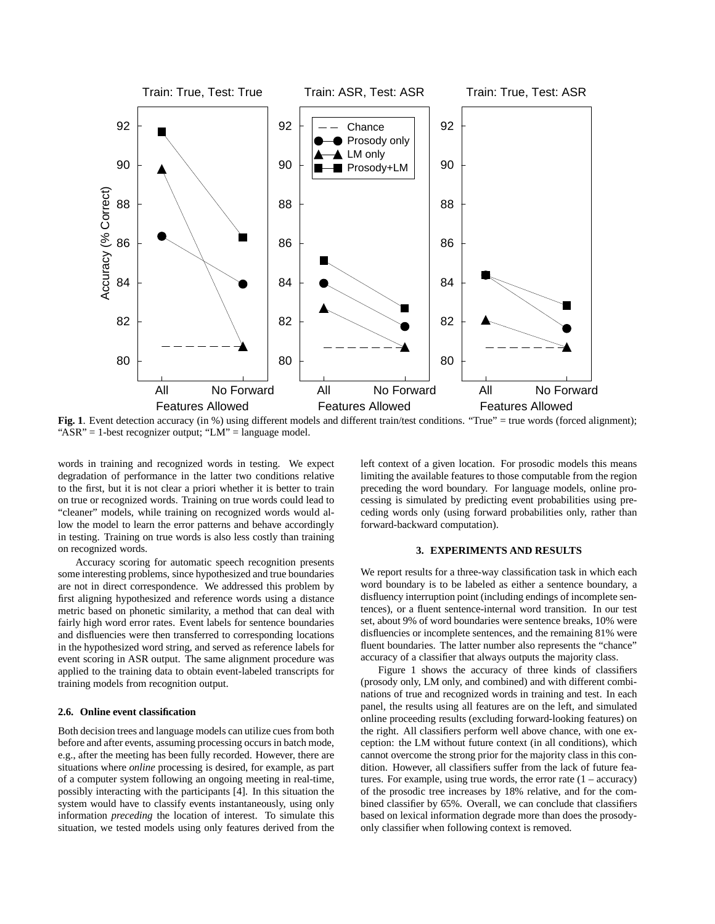

Fig. 1. Event detection accuracy (in %) using different models and different train/test conditions. "True" = true words (forced alignment); "ASR" = 1-best recognizer output; "LM" = language model.

words in training and recognized words in testing. We expect degradation of performance in the latter two conditions relative to the first, but it is not clear a priori whether it is better to train on true or recognized words. Training on true words could lead to "cleaner" models, while training on recognized words would allow the model to learn the error patterns and behave accordingly in testing. Training on true words is also less costly than training on recognized words.

Accuracy scoring for automatic speech recognition presents some interesting problems, since hypothesized and true boundaries are not in direct correspondence. We addressed this problem by first aligning hypothesized and reference words using a distance metric based on phonetic similarity, a method that can deal with fairly high word error rates. Event labels for sentence boundaries and disfluencies were then transferred to corresponding locations in the hypothesized word string, and served as reference labels for event scoring in ASR output. The same alignment procedure was applied to the training data to obtain event-labeled transcripts for training models from recognition output.

# **2.6. Online event classification**

Both decision trees and language models can utilize cues from both before and after events, assuming processing occurs in batch mode, e.g., after the meeting has been fully recorded. However, there are situations where *online* processing is desired, for example, as part of a computer system following an ongoing meeting in real-time, possibly interacting with the participants [4]. In this situation the system would have to classify events instantaneously, using only information *preceding* the location of interest. To simulate this situation, we tested models using only features derived from the left context of a given location. For prosodic models this means limiting the available features to those computable from the region preceding the word boundary. For language models, online processing is simulated by predicting event probabilities using preceding words only (using forward probabilities only, rather than forward-backward computation).

# **3. EXPERIMENTS AND RESULTS**

We report results for a three-way classification task in which each word boundary is to be labeled as either a sentence boundary, a disfluency interruption point (including endings of incomplete sentences), or a fluent sentence-internal word transition. In our test set, about 9% of word boundaries were sentence breaks, 10% were disfluencies or incomplete sentences, and the remaining 81% were fluent boundaries. The latter number also represents the "chance" accuracy of a classifier that always outputs the majority class.

Figure 1 shows the accuracy of three kinds of classifiers (prosody only, LM only, and combined) and with different combinations of true and recognized words in training and test. In each panel, the results using all features are on the left, and simulated online proceeding results (excluding forward-looking features) on the right. All classifiers perform well above chance, with one exception: the LM without future context (in all conditions), which cannot overcome the strong prior for the majority class in this condition. However, all classifiers suffer from the lack of future features. For example, using true words, the error rate  $(1 - \text{accuracy})$ of the prosodic tree increases by 18% relative, and for the combined classifier by 65%. Overall, we can conclude that classifiers based on lexical information degrade more than does the prosodyonly classifier when following context is removed.